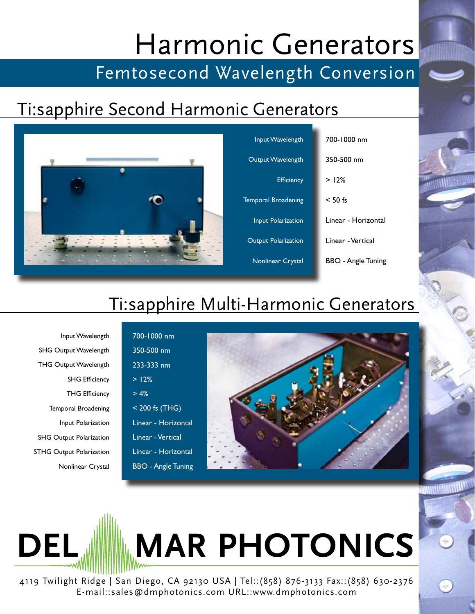# Harmonic Generators

# Femtosecond Wavelength Conversion

#### Ti:sapphire Second Harmonic Generators



## Ti:sapphire Multi-Harmonic Generators

Input Wavelength SHG Output Wavelength SHG Efficiency Temporal Broadening Input Polarization SHG Output Polarization Nonlinear Crystal THG Output Wavelength THG Efficiency STHG Output Polarization

350-500 nm 233-333 nm  $> 12%$  $> 4%$ < 200 fs (THG) Linear - Horizontal Linear - Horizontal BBO - Angle Tuning Linear - Vertical

700-1000 nm



**DEL <b>MAR** PHOTONICS

4119 Twilight Ridge | San Diego, CA 92130 USA | Tel::(858) 876-3133 Fax::(858) 630-2376 E-mail::sales@dmphotonics.com URL::www.dmphotonics.com